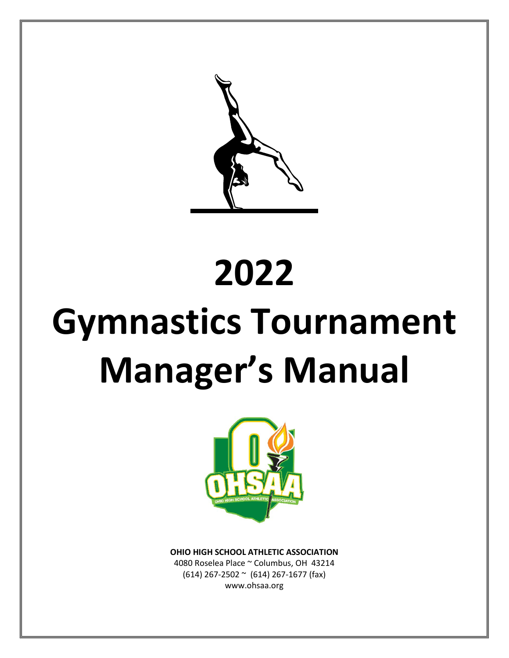# **2022 Gymnastics Tournament Manager's Manual**



**OHIO HIGH SCHOOL ATHLETIC ASSOCIATION**

4080 Roselea Place ~ Columbus, OH 43214 (614) 267-2502 ~ (614) 267-1677 (fax) www.ohsaa.org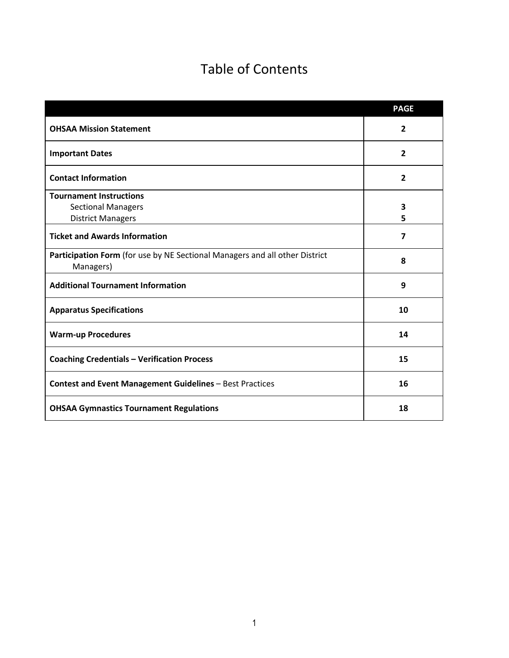# Table of Contents

|                                                                                          | <b>PAGE</b>    |
|------------------------------------------------------------------------------------------|----------------|
| <b>OHSAA Mission Statement</b>                                                           | $\overline{2}$ |
| <b>Important Dates</b>                                                                   | $\overline{2}$ |
| <b>Contact Information</b>                                                               | 2              |
| <b>Tournament Instructions</b>                                                           |                |
| <b>Sectional Managers</b>                                                                | 3              |
| <b>District Managers</b>                                                                 | 5              |
| <b>Ticket and Awards Information</b>                                                     | $\overline{7}$ |
| Participation Form (for use by NE Sectional Managers and all other District<br>Managers) | 8              |
| <b>Additional Tournament Information</b>                                                 | 9              |
| <b>Apparatus Specifications</b>                                                          | 10             |
| <b>Warm-up Procedures</b>                                                                | 14             |
| <b>Coaching Credentials - Verification Process</b>                                       | 15             |
| <b>Contest and Event Management Guidelines - Best Practices</b>                          | 16             |
| <b>OHSAA Gymnastics Tournament Regulations</b>                                           | 18             |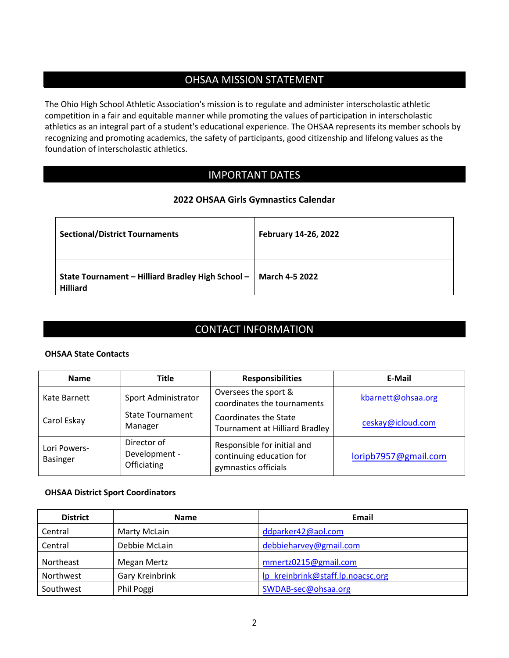# OHSAA MISSION STATEMENT

The Ohio High School Athletic Association's mission is to regulate and administer interscholastic athletic competition in a fair and equitable manner while promoting the values of participation in interscholastic athletics as an integral part of a student's educational experience. The OHSAA represents its member schools by recognizing and promoting academics, the safety of participants, good citizenship and lifelong values as the foundation of interscholastic athletics.

# IMPORTANT DATES

# **2022 OHSAA Girls Gymnastics Calendar**

| <b>Sectional/District Tournaments</b>                                                 | February 14-26, 2022 |
|---------------------------------------------------------------------------------------|----------------------|
| State Tournament - Hilliard Bradley High School -   March 4-5 2022<br><b>Hilliard</b> |                      |

# CONTACT INFORMATION

# **OHSAA State Contacts**

| <b>Name</b>                     | <b>Title</b>                                | <b>Responsibilities</b>                                                         | E-Mail               |
|---------------------------------|---------------------------------------------|---------------------------------------------------------------------------------|----------------------|
| Kate Barnett                    | Sport Administrator                         | Oversees the sport &<br>coordinates the tournaments                             | kbarnett@ohsaa.org   |
| Carol Eskay                     | <b>State Tournament</b><br>Manager          | <b>Coordinates the State</b><br><b>Tournament at Hilliard Bradley</b>           | ceskay@icloud.com    |
| Lori Powers-<br><b>Basinger</b> | Director of<br>Development -<br>Officiating | Responsible for initial and<br>continuing education for<br>gymnastics officials | loripb7957@gmail.com |

# **OHSAA District Sport Coordinators**

| <b>District</b> | <b>Name</b>     | Email                             |
|-----------------|-----------------|-----------------------------------|
| Central         | Marty McLain    | ddparker42@aol.com                |
| Central         | Debbie McLain   | debbieharvey@gmail.com            |
| Northeast       | Megan Mertz     | mmertz0215@gmail.com              |
| Northwest       | Gary Kreinbrink | lp kreinbrink@staff.lp.noacsc.org |
| Southwest       | Phil Poggi      | SWDAB-sec@ohsaa.org               |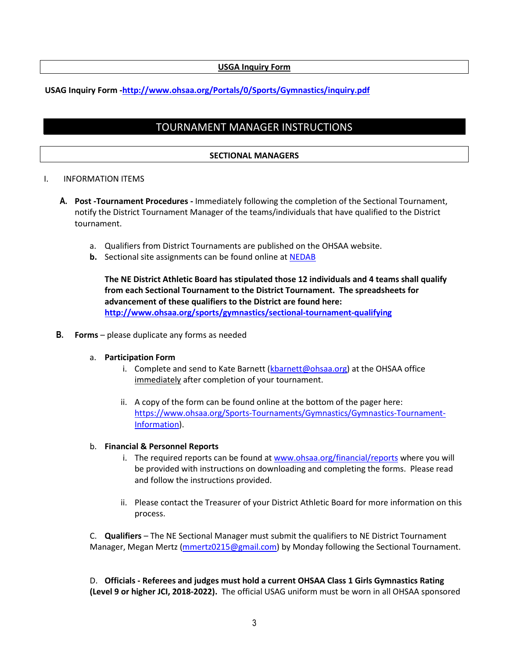# **USGA Inquiry Form**

# **USAG Inquiry Form [-http://www.ohsaa.org/Portals/0/Sports/Gymnastics/inquiry.pdf](http://www.ohsaa.org/Portals/0/Sports/Gymnastics/inquiry.pdf)**

# TOURNAMENT MANAGER INSTRUCTIONS

# **SECTIONAL MANAGERS**

#### I. INFORMATION ITEMS

- **A. Post -Tournament Procedures -** Immediately following the completion of the Sectional Tournament, notify the District Tournament Manager of the teams/individuals that have qualified to the District tournament.
	- a. Qualifiers from District Tournaments are published on the OHSAA website.
	- **b.** Sectional site assignments can be found online at [NEDAB](https://www.ohsaa.org/Northeast-Sports-Tournaments/Gymnastics)

**The NE District Athletic Board has stipulated those 12 individuals and 4 teams shall qualify from each Sectional Tournament to the District Tournament. The spreadsheets for advancement of these qualifiers to the District are found here: <http://www.ohsaa.org/sports/gymnastics/sectional-tournament-qualifying>**

**B. Forms** – please duplicate any forms as needed

#### a. **Participation Form**

- i. Complete and send to Kate Barnett [\(kbarnett@ohsaa.org\)](mailto:kbarnett@ohsaa.org) at the OHSAA office immediately after completion of your tournament.
- ii. A copy of the form can be found online at the bottom of the pager here: [https://www.ohsaa.org/Sports-Tournaments/Gymnastics/Gymnastics-Tournament-](https://www.ohsaa.org/Sports-Tournaments/Gymnastics/Gymnastics-Tournament-Information)[Information\)](https://www.ohsaa.org/Sports-Tournaments/Gymnastics/Gymnastics-Tournament-Information).

# b. **Financial & Personnel Reports**

- i. The required reports can be found a[t www.ohsaa.org/financial/reports](http://www.ohsaa.org/financial/reports) where you will be provided with instructions on downloading and completing the forms. Please read and follow the instructions provided.
- ii. Please contact the Treasurer of your District Athletic Board for more information on this process.

C. **Qualifiers** – The NE Sectional Manager must submit the qualifiers to NE District Tournament Manager, Megan Mertz [\(mmertz0215@gmail.com\)](mailto:mmertz0215@gmail.com) by Monday following the Sectional Tournament.

D. **Officials - Referees and judges must hold a current OHSAA Class 1 Girls Gymnastics Rating (Level 9 or higher JCI, 2018-2022).** The official USAG uniform must be worn in all OHSAA sponsored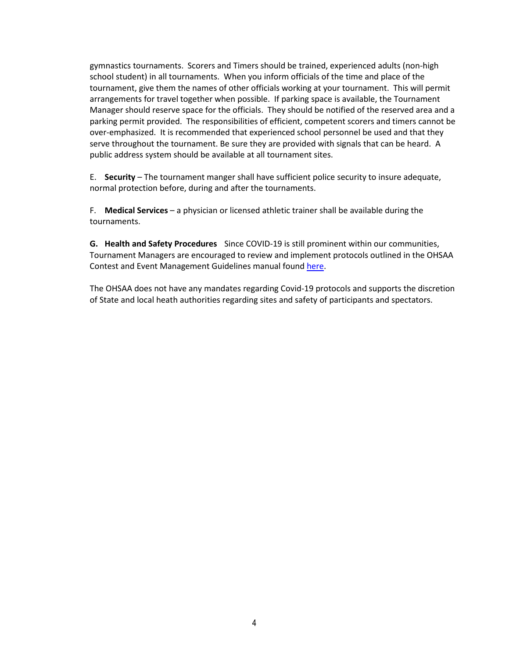gymnastics tournaments. Scorers and Timers should be trained, experienced adults (non-high school student) in all tournaments. When you inform officials of the time and place of the tournament, give them the names of other officials working at your tournament. This will permit arrangements for travel together when possible. If parking space is available, the Tournament Manager should reserve space for the officials. They should be notified of the reserved area and a parking permit provided. The responsibilities of efficient, competent scorers and timers cannot be over-emphasized. It is recommended that experienced school personnel be used and that they serve throughout the tournament. Be sure they are provided with signals that can be heard. A public address system should be available at all tournament sites.

E. **Security** – The tournament manger shall have sufficient police security to insure adequate, normal protection before, during and after the tournaments.

F. **Medical Services** – a physician or licensed athletic trainer shall be available during the tournaments.

**G. Health and Safety Procedures** Since COVID-19 is still prominent within our communities, Tournament Managers are encouraged to review and implement protocols outlined in the OHSAA Contest and Event Management Guidelines manual found [here.](https://ohsaaweb.blob.core.windows.net/files/SchoolResources/ContestMgtGuidelines.pdf?sv=2017-04-17&sr=b&si=DNNFileManagerPolicy&sig=itMW5EMyFAKFUKPMhFhmi1rEVLYimtGTeeBATYlSEMI%3D)

The OHSAA does not have any mandates regarding Covid-19 protocols and supports the discretion of State and local heath authorities regarding sites and safety of participants and spectators.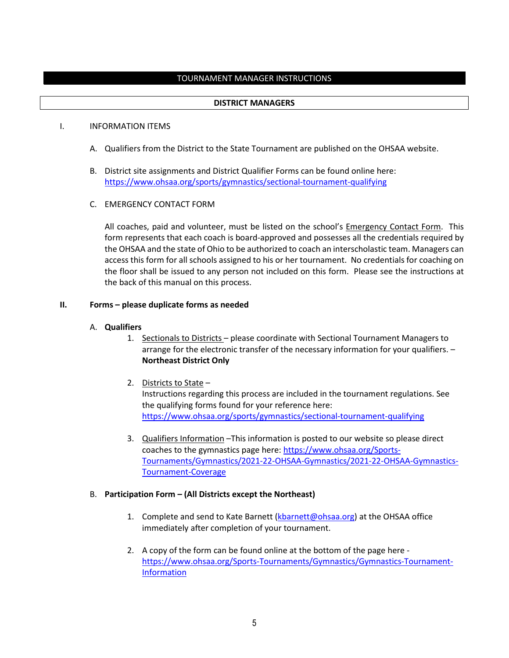# TOURNAMENT MANAGER INSTRUCTIONS

#### **DISTRICT MANAGERS**

#### I. INFORMATION ITEMS

- A. Qualifiers from the District to the State Tournament are published on the OHSAA website.
- B. District site assignments and District Qualifier Forms can be found online here: <https://www.ohsaa.org/sports/gymnastics/sectional-tournament-qualifying>

#### C. EMERGENCY CONTACT FORM

All coaches, paid and volunteer, must be listed on the school's Emergency Contact Form. This form represents that each coach is board-approved and possesses all the credentials required by the OHSAA and the state of Ohio to be authorized to coach an interscholastic team. Managers can access this form for all schools assigned to his or her tournament. No credentials for coaching on the floor shall be issued to any person not included on this form. Please see the instructions at the back of this manual on this process.

#### **II. Forms – please duplicate forms as needed**

#### A. **Qualifiers**

- 1. Sectionals to Districts please coordinate with Sectional Tournament Managers to arrange for the electronic transfer of the necessary information for your qualifiers. – **Northeast District Only**
- 2. Districts to State Instructions regarding this process are included in the tournament regulations. See the qualifying forms found for your reference here: <https://www.ohsaa.org/sports/gymnastics/sectional-tournament-qualifying>
- 3. Qualifiers Information –This information is posted to our website so please direct coaches to the gymnastics page here: [https://www.ohsaa.org/Sports-](https://www.ohsaa.org/Sports-Tournaments/Gymnastics/2021-22-OHSAA-Gymnastics/2021-22-OHSAA-Gymnastics-Tournament-Coverage)[Tournaments/Gymnastics/2021-22-OHSAA-Gymnastics/2021-22-OHSAA-Gymnastics-](https://www.ohsaa.org/Sports-Tournaments/Gymnastics/2021-22-OHSAA-Gymnastics/2021-22-OHSAA-Gymnastics-Tournament-Coverage)[Tournament-Coverage](https://www.ohsaa.org/Sports-Tournaments/Gymnastics/2021-22-OHSAA-Gymnastics/2021-22-OHSAA-Gymnastics-Tournament-Coverage)

#### B. **Participation Form – (All Districts except the Northeast)**

- 1. Complete and send to Kate Barnett [\(kbarnett@ohsaa.org\)](mailto:kbarnett@ohsaa.org) at the OHSAA office immediately after completion of your tournament.
- 2. A copy of the form can be found online at the bottom of the page here [https://www.ohsaa.org/Sports-Tournaments/Gymnastics/Gymnastics-Tournament-](https://www.ohsaa.org/Sports-Tournaments/Gymnastics/Gymnastics-Tournament-Information)[Information](https://www.ohsaa.org/Sports-Tournaments/Gymnastics/Gymnastics-Tournament-Information)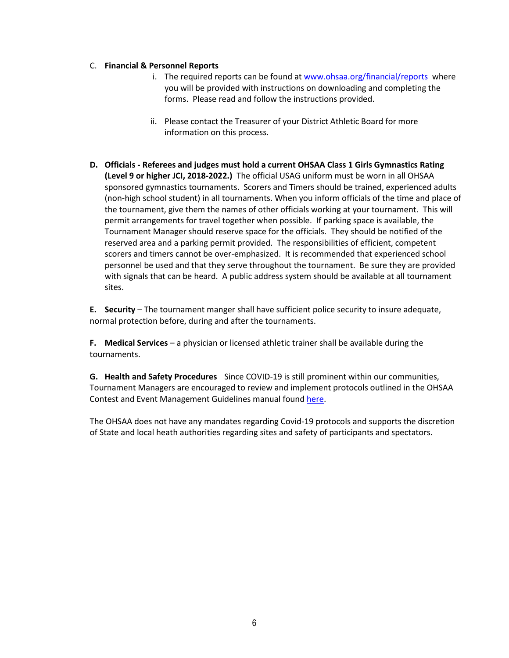# C. **Financial & Personnel Reports**

- i. The required reports can be found a[t www.ohsaa.org/financial/reports](http://www.ohsaa.org/financial/reports) where you will be provided with instructions on downloading and completing the forms. Please read and follow the instructions provided.
- ii. Please contact the Treasurer of your District Athletic Board for more information on this process.
- **D. Officials - Referees and judges must hold a current OHSAA Class 1 Girls Gymnastics Rating (Level 9 or higher JCI, 2018-2022.)** The official USAG uniform must be worn in all OHSAA sponsored gymnastics tournaments. Scorers and Timers should be trained, experienced adults (non-high school student) in all tournaments. When you inform officials of the time and place of the tournament, give them the names of other officials working at your tournament. This will permit arrangements for travel together when possible. If parking space is available, the Tournament Manager should reserve space for the officials. They should be notified of the reserved area and a parking permit provided. The responsibilities of efficient, competent scorers and timers cannot be over-emphasized. It is recommended that experienced school personnel be used and that they serve throughout the tournament. Be sure they are provided with signals that can be heard. A public address system should be available at all tournament sites.

**E. Security** – The tournament manger shall have sufficient police security to insure adequate, normal protection before, during and after the tournaments.

**F. Medical Services** – a physician or licensed athletic trainer shall be available during the tournaments.

**G. Health and Safety Procedures** Since COVID-19 is still prominent within our communities, Tournament Managers are encouraged to review and implement protocols outlined in the OHSAA Contest and Event Management Guidelines manual found [here.](https://ohsaaweb.blob.core.windows.net/files/SchoolResources/ContestMgtGuidelines.pdf?sv=2017-04-17&sr=b&si=DNNFileManagerPolicy&sig=itMW5EMyFAKFUKPMhFhmi1rEVLYimtGTeeBATYlSEMI%3D)

The OHSAA does not have any mandates regarding Covid-19 protocols and supports the discretion of State and local heath authorities regarding sites and safety of participants and spectators.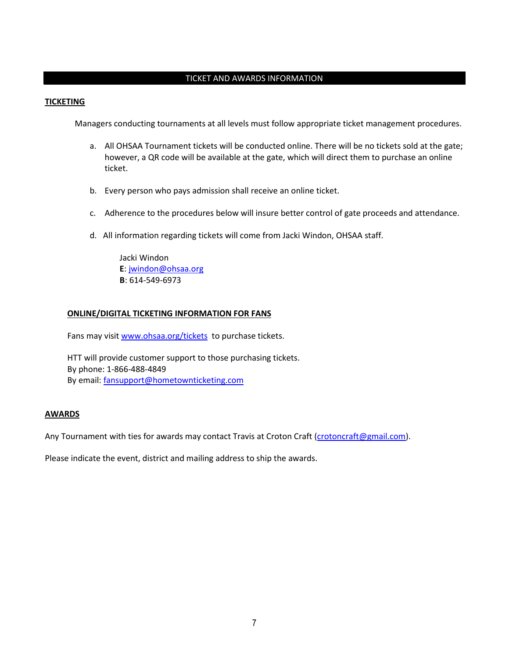# TICKET AND AWARDS INFORMATION

#### **TICKETING**

Managers conducting tournaments at all levels must follow appropriate ticket management procedures.

- a. All OHSAA Tournament tickets will be conducted online. There will be no tickets sold at the gate; however, a QR code will be available at the gate, which will direct them to purchase an online ticket.
- b. Every person who pays admission shall receive an online ticket.
- c. Adherence to the procedures below will insure better control of gate proceeds and attendance.
- d. All information regarding tickets will come from Jacki Windon, OHSAA staff.

Jacki Windon **E**: [jwindon@ohsaa.org](mailto:jwindon@ohsaa.org) **B**: 614-549-6973

#### **ONLINE/DIGITAL TICKETING INFORMATION FOR FANS**

Fans may visit [www.ohsaa.org/tickets](http://www.ohsaa.org/tickets) to purchase tickets.

HTT will provide customer support to those purchasing tickets. By phone: 1-866-488-4849 By email: [fansupport@hometownticketing.com](mailto:fansupport@hometownticketing.com)

#### **AWARDS**

Any Tournament with ties for awards may contact Travis at Croton Craft [\(crotoncraft@gmail.com\)](mailto:crotoncraft@gmail.com).

Please indicate the event, district and mailing address to ship the awards.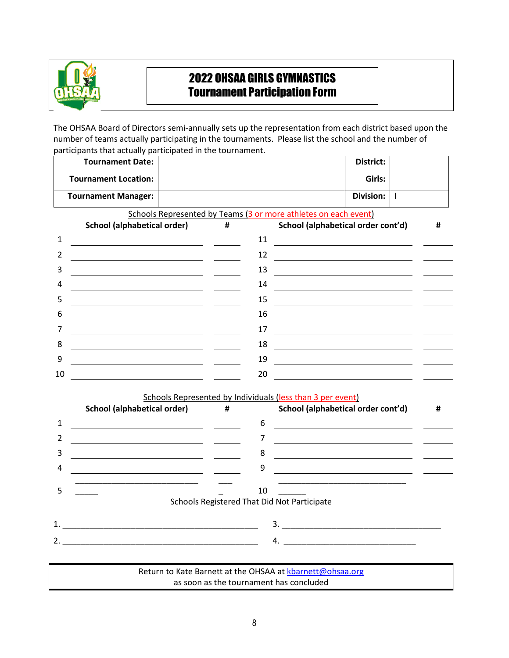

# 2022 OHSAA GIRLS GYMNASTICS Tournament Participation Form

The OHSAA Board of Directors semi-annually sets up the representation from each district based upon the number of teams actually participating in the tournaments. Please list the school and the number of participants that actually participated in the tournament.

|    | <b>Tournament Date:</b>                                     |   |    |                                                                                                                       | District:        |              |   |
|----|-------------------------------------------------------------|---|----|-----------------------------------------------------------------------------------------------------------------------|------------------|--------------|---|
|    | <b>Tournament Location:</b>                                 |   |    |                                                                                                                       | Girls:           |              |   |
|    | <b>Tournament Manager:</b>                                  |   |    |                                                                                                                       | <b>Division:</b> | $\mathbf{I}$ |   |
|    |                                                             |   |    | Schools Represented by Teams (3 or more athletes on each event)                                                       |                  |              |   |
|    | <b>School (alphabetical order)</b>                          | # |    | School (alphabetical order cont'd)                                                                                    |                  |              | # |
| 1  |                                                             |   | 11 |                                                                                                                       |                  |              |   |
| 2  | <u> 1989 - Johann Barbara, martin amerikan personal (</u>   |   | 12 |                                                                                                                       |                  |              |   |
| 3  | <u> 1989 - Johann Stoff, Amerikaansk politiker († 1908)</u> |   | 13 | <u> 1989 - Johann Barbara, martin amerikan basar dan basa dan basa dan basa dalam basa dalam basa dalam basa dala</u> |                  |              |   |
| 4  |                                                             |   | 14 |                                                                                                                       |                  |              |   |
| 5  |                                                             |   | 15 |                                                                                                                       |                  |              |   |
| 6  |                                                             |   | 16 | <u> 1980 - Andrea Station Barbara, amerikan per</u>                                                                   |                  |              |   |
| 7  |                                                             |   | 17 |                                                                                                                       |                  |              |   |
| 8  | <u> 1989 - Johann Stoff, Amerikaansk politiker († 1908)</u> |   | 18 | <u> 1980 - Johann Barbara, martin amerikan basar dan berasal dan berasal dalam basar dalam basar dalam basar dala</u> |                  |              |   |
| 9  |                                                             |   | 19 | <u> 1989 - Johann Barbara, martin amerikan basar dan basa dan basa dan basa dalam basa dalam basa dalam basa dala</u> |                  |              |   |
| 10 | <u> 1989 - Johann Barbara, martin amerikan personal (</u>   |   | 20 | <u> 1980 - Johann Barbara, martin a</u>                                                                               |                  |              |   |
|    |                                                             |   |    | Schools Represented by Individuals (less than 3 per event)                                                            |                  |              |   |
|    | <b>School (alphabetical order)</b>                          | # |    | School (alphabetical order cont'd)                                                                                    |                  |              | # |
| 1  |                                                             |   | 6  |                                                                                                                       |                  |              |   |
| 2  |                                                             |   | 7  |                                                                                                                       |                  |              |   |
| 3  |                                                             |   | 8  |                                                                                                                       |                  |              |   |
| 4  |                                                             |   | 9  |                                                                                                                       |                  |              |   |
|    |                                                             |   |    |                                                                                                                       |                  |              |   |
| 5  |                                                             |   | 10 | <b>Schools Registered That Did Not Participate</b>                                                                    |                  |              |   |
|    |                                                             |   |    |                                                                                                                       |                  |              |   |
| 1. |                                                             |   |    |                                                                                                                       |                  |              |   |
|    |                                                             |   |    | $\overline{4}$ .                                                                                                      |                  |              |   |
|    |                                                             |   |    |                                                                                                                       |                  |              |   |
|    |                                                             |   |    | Return to Kate Barnett at the OHSAA at kbarnett@ohsaa.org                                                             |                  |              |   |
|    |                                                             |   |    | as soon as the tournament has concluded                                                                               |                  |              |   |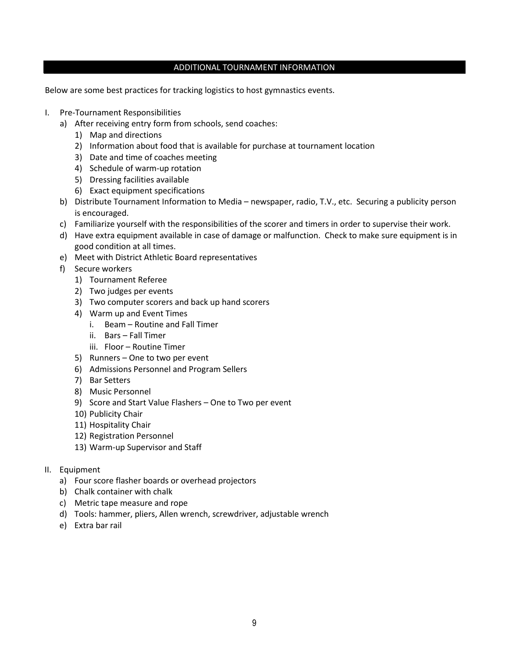#### ADDITIONAL TOURNAMENT INFORMATION

Below are some best practices for tracking logistics to host gymnastics events.

- I. Pre-Tournament Responsibilities
	- a) After receiving entry form from schools, send coaches:
		- 1) Map and directions
		- 2) Information about food that is available for purchase at tournament location
		- 3) Date and time of coaches meeting
		- 4) Schedule of warm-up rotation
		- 5) Dressing facilities available
		- 6) Exact equipment specifications
	- b) Distribute Tournament Information to Media newspaper, radio, T.V., etc. Securing a publicity person is encouraged.
	- c) Familiarize yourself with the responsibilities of the scorer and timers in order to supervise their work.
	- d) Have extra equipment available in case of damage or malfunction. Check to make sure equipment is in good condition at all times.
	- e) Meet with District Athletic Board representatives
	- f) Secure workers
		- 1) Tournament Referee
		- 2) Two judges per events
		- 3) Two computer scorers and back up hand scorers
		- 4) Warm up and Event Times
			- i. Beam Routine and Fall Timer
			- ii. Bars Fall Timer
			- iii. Floor Routine Timer
		- 5) Runners One to two per event
		- 6) Admissions Personnel and Program Sellers
		- 7) Bar Setters
		- 8) Music Personnel
		- 9) Score and Start Value Flashers One to Two per event
		- 10) Publicity Chair
		- 11) Hospitality Chair
		- 12) Registration Personnel
		- 13) Warm-up Supervisor and Staff
- II. Equipment
	- a) Four score flasher boards or overhead projectors
	- b) Chalk container with chalk
	- c) Metric tape measure and rope
	- d) Tools: hammer, pliers, Allen wrench, screwdriver, adjustable wrench
	- e) Extra bar rail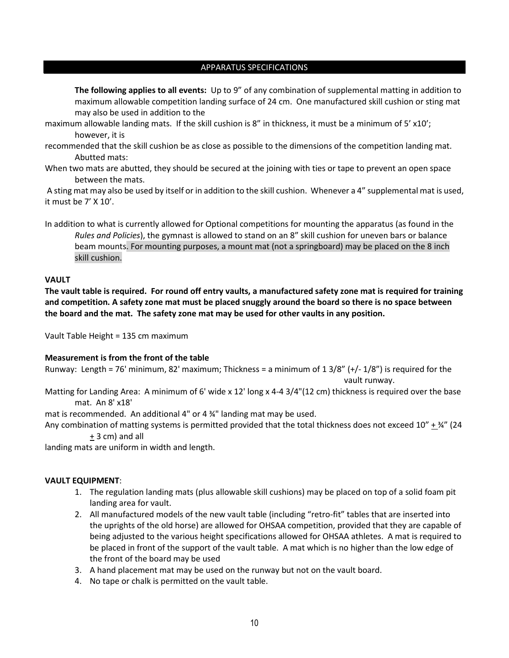#### APPARATUS SPECIFICATIONS

**The following applies to all events:** Up to 9" of any combination of supplemental matting in addition to maximum allowable competition landing surface of 24 cm. One manufactured skill cushion or sting mat may also be used in addition to the

- maximum allowable landing mats. If the skill cushion is 8" in thickness, it must be a minimum of 5' x10'; however, it is
- recommended that the skill cushion be as close as possible to the dimensions of the competition landing mat. Abutted mats:
- When two mats are abutted, they should be secured at the joining with ties or tape to prevent an open space between the mats.

A sting mat may also be used by itself or in addition to the skill cushion. Whenever a 4" supplemental mat is used, it must be 7' X 10'.

In addition to what is currently allowed for Optional competitions for mounting the apparatus (as found in the *Rules and Policies*), the gymnast is allowed to stand on an 8" skill cushion for uneven bars or balance beam mounts. For mounting purposes, a mount mat (not a springboard) may be placed on the 8 inch skill cushion.

#### **VAULT**

**The vault table is required. For round off entry vaults, a manufactured safety zone mat is required for training and competition. A safety zone mat must be placed snuggly around the board so there is no space between the board and the mat. The safety zone mat may be used for other vaults in any position.**

Vault Table Height = 135 cm maximum

# **Measurement is from the front of the table**

Runway: Length = 76' minimum, 82' maximum; Thickness = a minimum of  $1\frac{3}{8}$ " (+/- $\frac{1}{8}$ ") is required for the vault runway.

Matting for Landing Area: A minimum of 6' wide x 12' long x 4-4 3/4"(12 cm) thickness is required over the base mat. An 8' x18'

mat is recommended. An additional 4" or 4 ¾" landing mat may be used.

Any combination of matting systems is permitted provided that the total thickness does not exceed  $10'' +$  34" (24 + 3 cm) and all

landing mats are uniform in width and length.

# **VAULT EQUIPMENT**:

- 1. The regulation landing mats (plus allowable skill cushions) may be placed on top of a solid foam pit landing area for vault.
- 2. All manufactured models of the new vault table (including "retro-fit" tables that are inserted into the uprights of the old horse) are allowed for OHSAA competition, provided that they are capable of being adjusted to the various height specifications allowed for OHSAA athletes. A mat is required to be placed in front of the support of the vault table. A mat which is no higher than the low edge of the front of the board may be used
- 3. A hand placement mat may be used on the runway but not on the vault board.
- 4. No tape or chalk is permitted on the vault table.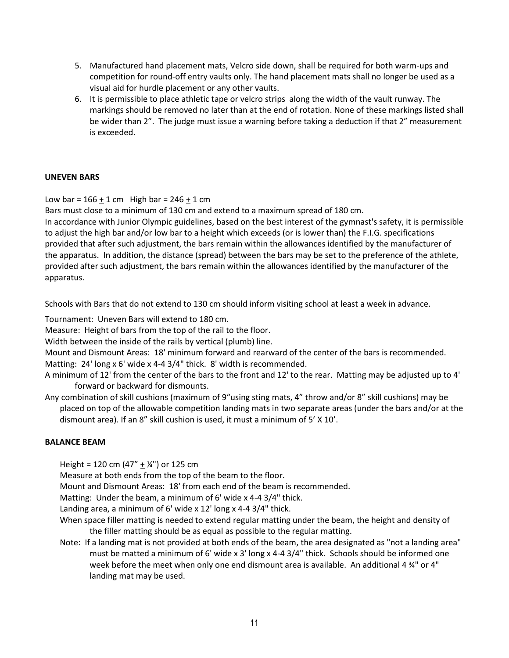- 5. Manufactured hand placement mats, Velcro side down, shall be required for both warm-ups and competition for round-off entry vaults only. The hand placement mats shall no longer be used as a visual aid for hurdle placement or any other vaults.
- 6. It is permissible to place athletic tape or velcro strips along the width of the vault runway. The markings should be removed no later than at the end of rotation. None of these markings listed shall be wider than 2". The judge must issue a warning before taking a deduction if that 2" measurement is exceeded.

# **UNEVEN BARS**

Low bar =  $166 + 1$  cm High bar =  $246 + 1$  cm

Bars must close to a minimum of 130 cm and extend to a maximum spread of 180 cm.

In accordance with Junior Olympic guidelines, based on the best interest of the gymnast's safety, it is permissible to adjust the high bar and/or low bar to a height which exceeds (or is lower than) the F.I.G. specifications provided that after such adjustment, the bars remain within the allowances identified by the manufacturer of the apparatus. In addition, the distance (spread) between the bars may be set to the preference of the athlete, provided after such adjustment, the bars remain within the allowances identified by the manufacturer of the apparatus.

Schools with Bars that do not extend to 130 cm should inform visiting school at least a week in advance.

Tournament: Uneven Bars will extend to 180 cm.

Measure: Height of bars from the top of the rail to the floor.

Width between the inside of the rails by vertical (plumb) line.

Mount and Dismount Areas: 18' minimum forward and rearward of the center of the bars is recommended.

Matting: 24' long x 6' wide x 4-4 3/4" thick. 8' width is recommended.

- A minimum of 12' from the center of the bars to the front and 12' to the rear. Matting may be adjusted up to 4' forward or backward for dismounts.
- Any combination of skill cushions (maximum of 9"using sting mats, 4" throw and/or 8" skill cushions) may be placed on top of the allowable competition landing mats in two separate areas (under the bars and/or at the dismount area). If an 8" skill cushion is used, it must a minimum of 5' X 10'.

# **BALANCE BEAM**

Height = 120 cm  $(47'' + \frac{1}{4}$ ") or 125 cm

Measure at both ends from the top of the beam to the floor.

Mount and Dismount Areas: 18' from each end of the beam is recommended.

Matting: Under the beam, a minimum of 6' wide x 4-4 3/4" thick.

Landing area, a minimum of 6' wide x 12' long x 4-4 3/4" thick.

- When space filler matting is needed to extend regular matting under the beam, the height and density of the filler matting should be as equal as possible to the regular matting.
- Note: If a landing mat is not provided at both ends of the beam, the area designated as "not a landing area" must be matted a minimum of 6' wide x 3' long x 4-4 3/4" thick. Schools should be informed one week before the meet when only one end dismount area is available. An additional 4  $\frac{3}{4}$ " or 4" landing mat may be used.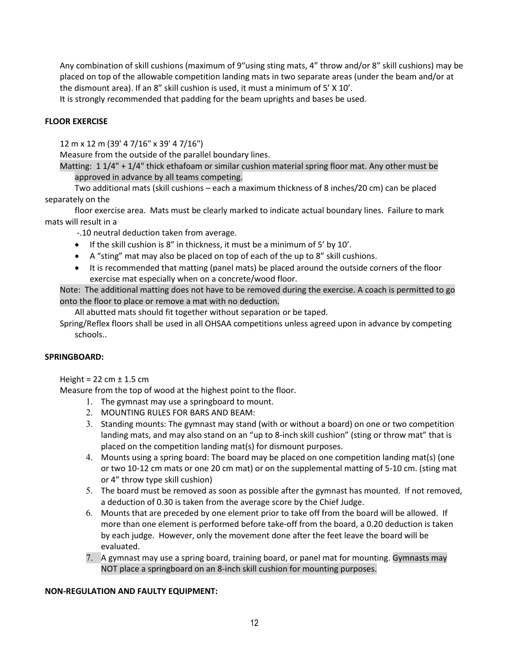Any combination of skill cushions (maximum of 9"using sting mats, 4" throw and/or 8" skill cushions) may be placed on top of the allowable competition landing mats in two separate areas (under the beam and/or at the dismount area). If an 8" skill cushion is used, it must a minimum of 5' X 10'.

It is strongly recommended that padding for the beam uprights and bases be used.

# **FLOOR EXERCISE**

12 m x 12 m (39' 4 7/16" x 39' 4 7/16")

Measure from the outside of the parallel boundary lines.

Matting: 1 1/4" + 1/4" thick ethafoam or similar cushion material spring floor mat. Any other must be approved in advance by all teams competing.

Two additional mats (skill cushions – each a maximum thickness of 8 inches/20 cm) can be placed separately on the

floor exercise area. Mats must be clearly marked to indicate actual boundary lines. Failure to mark mats will result in a

-.10 neutral deduction taken from average.

- If the skill cushion is 8" in thickness, it must be a minimum of 5' by 10'.
- A "sting" mat may also be placed on top of each of the up to 8" skill cushions.
- It is recommended that matting (panel mats) be placed around the outside corners of the floor exercise mat especially when on a concrete/wood floor.

Note: The additional matting does not have to be removed during the exercise. A coach is permitted to go onto the floor to place or remove a mat with no deduction.

All abutted mats should fit together without separation or be taped.

Spring/Reflex floors shall be used in all OHSAA competitions unless agreed upon in advance by competing schools..

# **SPRINGBOARD:**

Height =  $22$  cm  $\pm$  1.5 cm

Measure from the top of wood at the highest point to the floor.

- 1. The gymnast may use a springboard to mount.
- 2. MOUNTING RULES FOR BARS AND BEAM:
- 3. Standing mounts: The gymnast may stand (with or without a board) on one or two competition landing mats, and may also stand on an "up to 8-inch skill cushion" (sting or throw mat" that is placed on the competition landing mat(s) for dismount purposes.
- 4. Mounts using a spring board: The board may be placed on one competition landing mat(s) (one or two 10-12 cm mats or one 20 cm mat) or on the supplemental matting of 5-10 cm. (sting mat or 4" throw type skill cushion)
- 5. The board must be removed as soon as possible after the gymnast has mounted. If not removed, a deduction of 0.30 is taken from the average score by the Chief Judge.
- 6. Mounts that are preceded by one element prior to take off from the board will be allowed. If more than one element is performed before take-off from the board, a 0.20 deduction is taken by each judge. However, only the movement done after the feet leave the board will be evaluated.
- 7. A gymnast may use a spring board, training board, or panel mat for mounting. Gymnasts may NOT place a springboard on an 8-inch skill cushion for mounting purposes.

# **NON-REGULATION AND FAULTY EQUIPMENT:**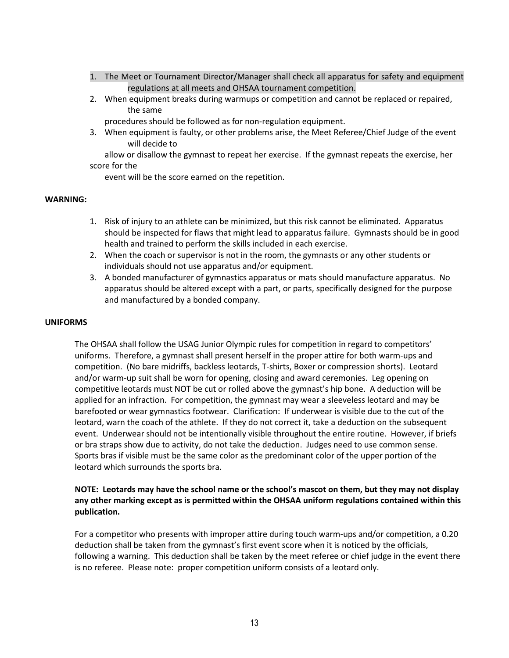- 1. The Meet or Tournament Director/Manager shall check all apparatus for safety and equipment regulations at all meets and OHSAA tournament competition.
- 2. When equipment breaks during warmups or competition and cannot be replaced or repaired, the same

procedures should be followed as for non-regulation equipment.

3. When equipment is faulty, or other problems arise, the Meet Referee/Chief Judge of the event will decide to

allow or disallow the gymnast to repeat her exercise. If the gymnast repeats the exercise, her score for the

event will be the score earned on the repetition.

#### **WARNING:**

- 1. Risk of injury to an athlete can be minimized, but this risk cannot be eliminated. Apparatus should be inspected for flaws that might lead to apparatus failure. Gymnasts should be in good health and trained to perform the skills included in each exercise.
- 2. When the coach or supervisor is not in the room, the gymnasts or any other students or individuals should not use apparatus and/or equipment.
- 3. A bonded manufacturer of gymnastics apparatus or mats should manufacture apparatus. No apparatus should be altered except with a part, or parts, specifically designed for the purpose and manufactured by a bonded company.

#### **UNIFORMS**

The OHSAA shall follow the USAG Junior Olympic rules for competition in regard to competitors' uniforms. Therefore, a gymnast shall present herself in the proper attire for both warm-ups and competition. (No bare midriffs, backless leotards, T-shirts, Boxer or compression shorts). Leotard and/or warm-up suit shall be worn for opening, closing and award ceremonies. Leg opening on competitive leotards must NOT be cut or rolled above the gymnast's hip bone. A deduction will be applied for an infraction. For competition, the gymnast may wear a sleeveless leotard and may be barefooted or wear gymnastics footwear. Clarification: If underwear is visible due to the cut of the leotard, warn the coach of the athlete. If they do not correct it, take a deduction on the subsequent event. Underwear should not be intentionally visible throughout the entire routine. However, if briefs or bra straps show due to activity, do not take the deduction. Judges need to use common sense. Sports bras if visible must be the same color as the predominant color of the upper portion of the leotard which surrounds the sports bra.

# **NOTE: Leotards may have the school name or the school's mascot on them, but they may not display any other marking except as is permitted within the OHSAA uniform regulations contained within this publication.**

For a competitor who presents with improper attire during touch warm-ups and/or competition, a 0.20 deduction shall be taken from the gymnast's first event score when it is noticed by the officials, following a warning. This deduction shall be taken by the meet referee or chief judge in the event there is no referee. Please note: proper competition uniform consists of a leotard only.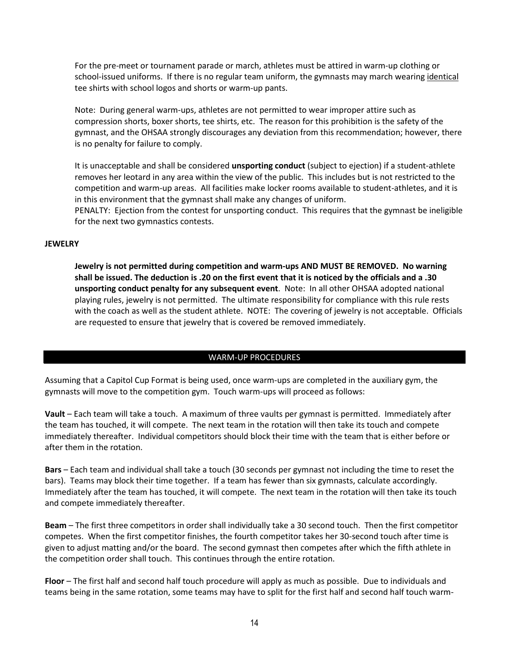For the pre-meet or tournament parade or march, athletes must be attired in warm-up clothing or school-issued uniforms. If there is no regular team uniform, the gymnasts may march wearing identical tee shirts with school logos and shorts or warm-up pants.

Note: During general warm-ups, athletes are not permitted to wear improper attire such as compression shorts, boxer shorts, tee shirts, etc. The reason for this prohibition is the safety of the gymnast, and the OHSAA strongly discourages any deviation from this recommendation; however, there is no penalty for failure to comply.

It is unacceptable and shall be considered **unsporting conduct** (subject to ejection) if a student-athlete removes her leotard in any area within the view of the public. This includes but is not restricted to the competition and warm-up areas. All facilities make locker rooms available to student-athletes, and it is in this environment that the gymnast shall make any changes of uniform.

PENALTY: Ejection from the contest for unsporting conduct. This requires that the gymnast be ineligible for the next two gymnastics contests.

#### **JEWELRY**

**Jewelry is not permitted during competition and warm-ups AND MUST BE REMOVED. No warning shall be issued. The deduction is .20 on the first event that it is noticed by the officials and a .30 unsporting conduct penalty for any subsequent event**. Note: In all other OHSAA adopted national playing rules, jewelry is not permitted. The ultimate responsibility for compliance with this rule rests with the coach as well as the student athlete. NOTE: The covering of jewelry is not acceptable. Officials are requested to ensure that jewelry that is covered be removed immediately.

# WARM-UP PROCEDURES

Assuming that a Capitol Cup Format is being used, once warm-ups are completed in the auxiliary gym, the gymnasts will move to the competition gym. Touch warm-ups will proceed as follows:

**Vault** – Each team will take a touch. A maximum of three vaults per gymnast is permitted. Immediately after the team has touched, it will compete. The next team in the rotation will then take its touch and compete immediately thereafter. Individual competitors should block their time with the team that is either before or after them in the rotation.

**Bars** – Each team and individual shall take a touch (30 seconds per gymnast not including the time to reset the bars). Teams may block their time together. If a team has fewer than six gymnasts, calculate accordingly. Immediately after the team has touched, it will compete. The next team in the rotation will then take its touch and compete immediately thereafter.

**Beam** – The first three competitors in order shall individually take a 30 second touch. Then the first competitor competes. When the first competitor finishes, the fourth competitor takes her 30-second touch after time is given to adjust matting and/or the board. The second gymnast then competes after which the fifth athlete in the competition order shall touch. This continues through the entire rotation.

**Floor** – The first half and second half touch procedure will apply as much as possible. Due to individuals and teams being in the same rotation, some teams may have to split for the first half and second half touch warm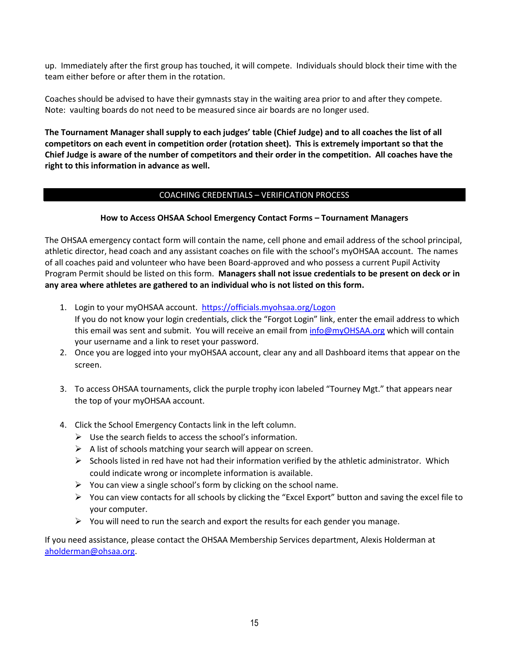up. Immediately after the first group has touched, it will compete. Individuals should block their time with the team either before or after them in the rotation.

Coaches should be advised to have their gymnasts stay in the waiting area prior to and after they compete. Note: vaulting boards do not need to be measured since air boards are no longer used.

**The Tournament Manager shall supply to each judges' table (Chief Judge) and to all coaches the list of all competitors on each event in competition order (rotation sheet). This is extremely important so that the Chief Judge is aware of the number of competitors and their order in the competition. All coaches have the right to this information in advance as well.**

# COACHING CREDENTIALS – VERIFICATION PROCESS

# **How to Access OHSAA School Emergency Contact Forms – Tournament Managers**

The OHSAA emergency contact form will contain the name, cell phone and email address of the school principal, athletic director, head coach and any assistant coaches on file with the school's myOHSAA account. The names of all coaches paid and volunteer who have been Board-approved and who possess a current Pupil Activity Program Permit should be listed on this form. **Managers shall not issue credentials to be present on deck or in any area where athletes are gathered to an individual who is not listed on this form.**

- 1. Login to your myOHSAA account. <https://officials.myohsaa.org/Logon> If you do not know your login credentials, click the "Forgot Login" link, enter the email address to which this email was sent and submit. You will receive an email from [info@myOHSAA.org](mailto:info@myOHSAA.org) which will contain your username and a link to reset your password.
- 2. Once you are logged into your myOHSAA account, clear any and all Dashboard items that appear on the screen.
- 3. To access OHSAA tournaments, click the purple trophy icon labeled "Tourney Mgt." that appears near the top of your myOHSAA account.
- 4. Click the School Emergency Contacts link in the left column.
	- $\triangleright$  Use the search fields to access the school's information.
	- $\triangleright$  A list of schools matching your search will appear on screen.
	- $\triangleright$  Schools listed in red have not had their information verified by the athletic administrator. Which could indicate wrong or incomplete information is available.
	- $\triangleright$  You can view a single school's form by clicking on the school name.
	- $\triangleright$  You can view contacts for all schools by clicking the "Excel Export" button and saving the excel file to your computer.
	- $\triangleright$  You will need to run the search and export the results for each gender you manage.

If you need assistance, please contact the OHSAA Membership Services department, Alexis Holderman at [aholderman@ohsaa.org.](mailto:aholderman@ohsaa.org)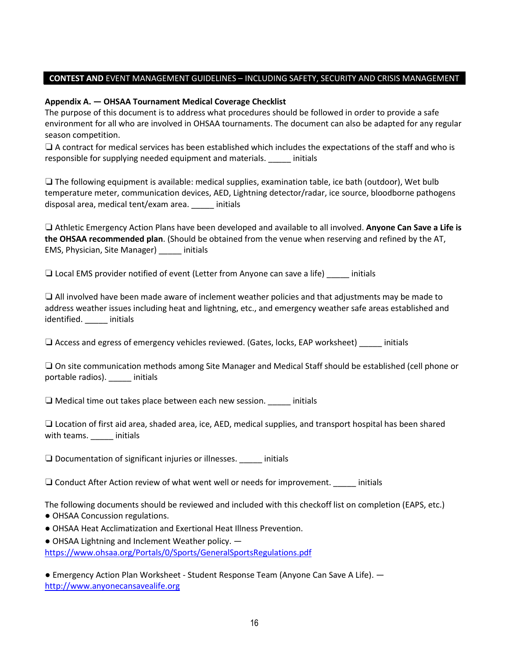# **CONTEST AND** EVENT MANAGEMENT GUIDELINES – INCLUDING SAFETY, SECURITY AND CRISIS MANAGEMENT

# **Appendix A. — OHSAA Tournament Medical Coverage Checklist**

The purpose of this document is to address what procedures should be followed in order to provide a safe environment for all who are involved in OHSAA tournaments. The document can also be adapted for any regular season competition.

❏ A contract for medical services has been established which includes the expectations of the staff and who is responsible for supplying needed equipment and materials. \_\_\_\_\_ initials

❏ The following equipment is available: medical supplies, examination table, ice bath (outdoor), Wet bulb temperature meter, communication devices, AED, Lightning detector/radar, ice source, bloodborne pathogens disposal area, medical tent/exam area. \_\_\_\_\_ initials

❏ Athletic Emergency Action Plans have been developed and available to all involved. **Anyone Can Save a Life is the OHSAA recommended plan**. (Should be obtained from the venue when reserving and refined by the AT, EMS, Physician, Site Manager) \_\_\_\_\_ initials

❏ Local EMS provider notified of event (Letter from Anyone can save a life) \_\_\_\_\_ initials

❏ All involved have been made aware of inclement weather policies and that adjustments may be made to address weather issues including heat and lightning, etc., and emergency weather safe areas established and identified. \_\_\_\_\_ initials

❏ Access and egress of emergency vehicles reviewed. (Gates, locks, EAP worksheet) \_\_\_\_\_ initials

❏ On site communication methods among Site Manager and Medical Staff should be established (cell phone or portable radios). \_\_\_\_\_ initials

 $\Box$  Medical time out takes place between each new session. \_\_\_\_\_\_\_ initials

❏ Location of first aid area, shaded area, ice, AED, medical supplies, and transport hospital has been shared with teams. \_\_\_\_\_\_ initials

❏ Documentation of significant injuries or illnesses. \_\_\_\_\_ initials

❏ Conduct After Action review of what went well or needs for improvement. \_\_\_\_\_ initials

The following documents should be reviewed and included with this checkoff list on completion (EAPS, etc.)

- OHSAA Concussion regulations.
- OHSAA Heat Acclimatization and Exertional Heat Illness Prevention.
- $\bullet$  OHSAA Lightning and Inclement Weather policy.  $\leftarrow$

<https://www.ohsaa.org/Portals/0/Sports/GeneralSportsRegulations.pdf>

● Emergency Action Plan Worksheet - Student Response Team (Anyone Can Save A Life). [http://www.anyonecansavealife.org](http://www.anyonecansavealife.org/)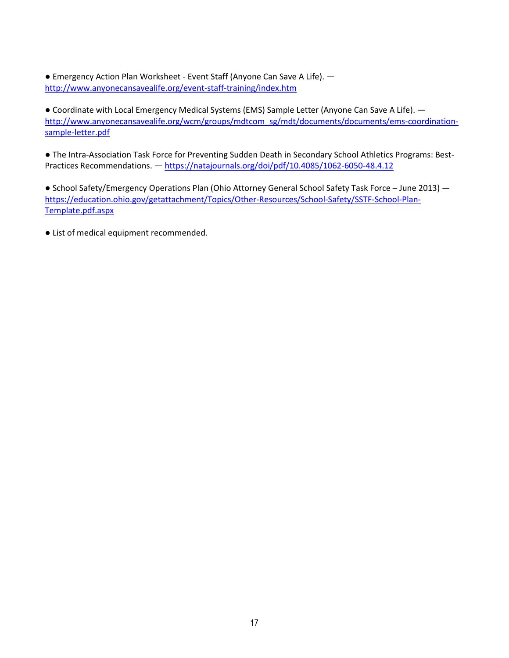● Emergency Action Plan Worksheet - Event Staff (Anyone Can Save A Life). <http://www.anyonecansavealife.org/event-staff-training/index.htm>

● Coordinate with Local Emergency Medical Systems (EMS) Sample Letter (Anyone Can Save A Life). – [http://www.anyonecansavealife.org/wcm/groups/mdtcom\\_sg/mdt/documents/documents/ems-coordination](http://www.anyonecansavealife.org/wcm/groups/mdtcom_sg/mdt/documents/documents/ems-coordination-sample-letter.pdf)[sample-letter.pdf](http://www.anyonecansavealife.org/wcm/groups/mdtcom_sg/mdt/documents/documents/ems-coordination-sample-letter.pdf) 

● The Intra-Association Task Force for Preventing Sudden Death in Secondary School Athletics Programs: Best-Practices Recommendations. — <https://natajournals.org/doi/pdf/10.4085/1062-6050-48.4.12>

● School Safety/Emergency Operations Plan (Ohio Attorney General School Safety Task Force – June 2013) [https://education.ohio.gov/getattachment/Topics/Other-Resources/School-Safety/SSTF-School-Plan-](https://education.ohio.gov/getattachment/Topics/Other-Resources/School-Safety/SSTF-School-Plan-Template.pdf.aspx)[Template.pdf.aspx](https://education.ohio.gov/getattachment/Topics/Other-Resources/School-Safety/SSTF-School-Plan-Template.pdf.aspx) 

● List of medical equipment recommended.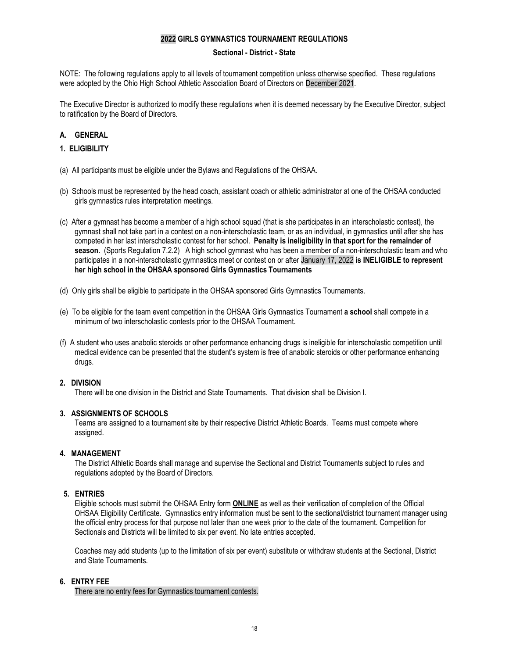#### **2022 GIRLS GYMNASTICS TOURNAMENT REGULATIONS**

#### **Sectional - District - State**

NOTE: The following regulations apply to all levels of tournament competition unless otherwise specified. These regulations were adopted by the Ohio High School Athletic Association Board of Directors on December 2021.

The Executive Director is authorized to modify these regulations when it is deemed necessary by the Executive Director, subject to ratification by the Board of Directors.

# **A. GENERAL**

#### **1. ELIGIBILITY**

- (a) All participants must be eligible under the Bylaws and Regulations of the OHSAA.
- (b) Schools must be represented by the head coach, assistant coach or athletic administrator at one of the OHSAA conducted girls gymnastics rules interpretation meetings.
- (c) After a gymnast has become a member of a high school squad (that is she participates in an interscholastic contest), the gymnast shall not take part in a contest on a non-interscholastic team, or as an individual, in gymnastics until after she has competed in her last interscholastic contest for her school. **Penalty is ineligibility in that sport for the remainder of season.** (Sports Regulation 7.2.2) A high school gymnast who has been a member of a non-interscholastic team and who participates in a non-interscholastic gymnastics meet or contest on or after January 17, 2022 **is INELIGIBLE to represent her high school in the OHSAA sponsored Girls Gymnastics Tournaments**
- (d) Only girls shall be eligible to participate in the OHSAA sponsored Girls Gymnastics Tournaments.
- (e) To be eligible for the team event competition in the OHSAA Girls Gymnastics Tournament **a school** shall compete in a minimum of two interscholastic contests prior to the OHSAA Tournament.
- (f) A student who uses anabolic steroids or other performance enhancing drugs is ineligible for interscholastic competition until medical evidence can be presented that the student's system is free of anabolic steroids or other performance enhancing drugs.

#### **2. DIVISION**

There will be one division in the District and State Tournaments. That division shall be Division I.

#### **3. ASSIGNMENTS OF SCHOOLS**

Teams are assigned to a tournament site by their respective District Athletic Boards. Teams must compete where assigned.

#### **4. MANAGEMENT**

The District Athletic Boards shall manage and supervise the Sectional and District Tournaments subject to rules and regulations adopted by the Board of Directors.

#### **5. ENTRIES**

Eligible schools must submit the OHSAA Entry form **ONLINE** as well as their verification of completion of the Official OHSAA Eligibility Certificate. Gymnastics entry information must be sent to the sectional/district tournament manager using the official entry process for that purpose not later than one week prior to the date of the tournament. Competition for Sectionals and Districts will be limited to six per event. No late entries accepted.

Coaches may add students (up to the limitation of six per event) substitute or withdraw students at the Sectional, District and State Tournaments.

#### **6. ENTRY FEE**

There are no entry fees for Gymnastics tournament contests.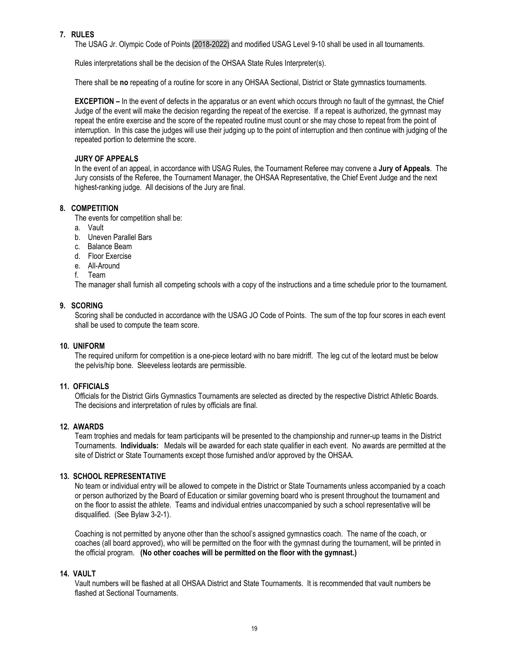#### **7. RULES**

The USAG Jr. Olympic Code of Points (2018-2022) and modified USAG Level 9-10 shall be used in all tournaments.

Rules interpretations shall be the decision of the OHSAA State Rules Interpreter(s).

There shall be **no** repeating of a routine for score in any OHSAA Sectional, District or State gymnastics tournaments.

**EXCEPTION –** In the event of defects in the apparatus or an event which occurs through no fault of the gymnast, the Chief Judge of the event will make the decision regarding the repeat of the exercise. If a repeat is authorized, the gymnast may repeat the entire exercise and the score of the repeated routine must count or she may chose to repeat from the point of interruption. In this case the judges will use their judging up to the point of interruption and then continue with judging of the repeated portion to determine the score.

#### **JURY OF APPEALS**

In the event of an appeal, in accordance with USAG Rules, the Tournament Referee may convene a **Jury of Appeals**. The Jury consists of the Referee, the Tournament Manager, the OHSAA Representative, the Chief Event Judge and the next highest-ranking judge. All decisions of the Jury are final.

#### **8. COMPETITION**

The events for competition shall be:

- a. Vault
- b. Uneven Parallel Bars
- c. Balance Beam
- d. Floor Exercise
- e. All-Around
- f. Team

The manager shall furnish all competing schools with a copy of the instructions and a time schedule prior to the tournament.

#### **9. SCORING**

Scoring shall be conducted in accordance with the USAG JO Code of Points. The sum of the top four scores in each event shall be used to compute the team score.

#### **10. UNIFORM**

The required uniform for competition is a one-piece leotard with no bare midriff. The leg cut of the leotard must be below the pelvis/hip bone. Sleeveless leotards are permissible.

#### **11. OFFICIALS**

Officials for the District Girls Gymnastics Tournaments are selected as directed by the respective District Athletic Boards. The decisions and interpretation of rules by officials are final.

#### **12. AWARDS**

Team trophies and medals for team participants will be presented to the championship and runner-up teams in the District Tournaments. **Individuals:** Medals will be awarded for each state qualifier in each event. No awards are permitted at the site of District or State Tournaments except those furnished and/or approved by the OHSAA.

#### **13. SCHOOL REPRESENTATIVE**

No team or individual entry will be allowed to compete in the District or State Tournaments unless accompanied by a coach or person authorized by the Board of Education or similar governing board who is present throughout the tournament and on the floor to assist the athlete. Teams and individual entries unaccompanied by such a school representative will be disqualified. (See Bylaw 3-2-1).

Coaching is not permitted by anyone other than the school's assigned gymnastics coach. The name of the coach, or coaches (all board approved), who will be permitted on the floor with the gymnast during the tournament, will be printed in the official program. **(No other coaches will be permitted on the floor with the gymnast.)**

#### **14. VAULT**

Vault numbers will be flashed at all OHSAA District and State Tournaments. It is recommended that vault numbers be flashed at Sectional Tournaments.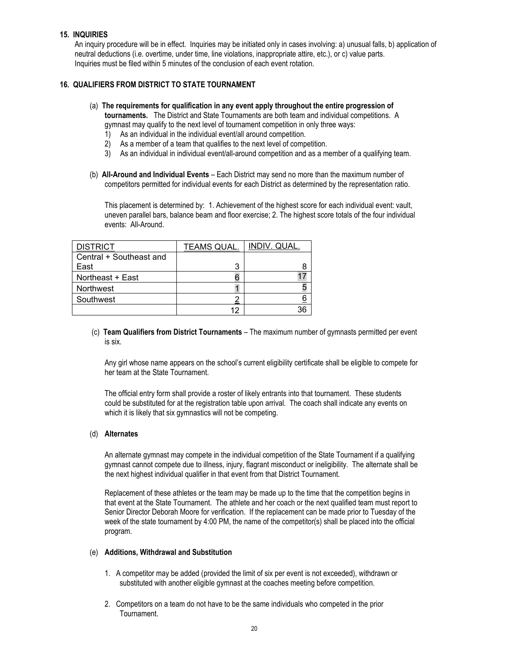#### **15. INQUIRIES**

An inquiry procedure will be in effect. Inquiries may be initiated only in cases involving: a) unusual falls, b) application of neutral deductions (i.e. overtime, under time, line violations, inappropriate attire, etc.), or c) value parts. Inquiries must be filed within 5 minutes of the conclusion of each event rotation.

#### **16. QUALIFIERS FROM DISTRICT TO STATE TOURNAMENT**

# (a) **The requirements for qualification in any event apply throughout the entire progression of**

- **tournaments.** The District and State Tournaments are both team and individual competitions. A gymnast may qualify to the next level of tournament competition in only three ways:
- 1) As an individual in the individual event/all around competition.
- 2) As a member of a team that qualifies to the next level of competition.
- 3) As an individual in individual event/all-around competition and as a member of a qualifying team.
- (b) **All-Around and Individual Events** Each District may send no more than the maximum number of competitors permitted for individual events for each District as determined by the representation ratio.

This placement is determined by: 1. Achievement of the highest score for each individual event: vault, uneven parallel bars, balance beam and floor exercise; 2. The highest score totals of the four individual events: All-Around.

| <b>DISTRICT</b>         | <b>TEAMS QUAL.</b> | INDIV. QUAL. |
|-------------------------|--------------------|--------------|
| Central + Southeast and |                    |              |
| East                    | ว                  |              |
| Northeast + East        |                    |              |
| Northwest               |                    |              |
| Southwest               |                    |              |
|                         |                    |              |

#### (c) **Team Qualifiers from District Tournaments** – The maximum number of gymnasts permitted per event is six.

Any girl whose name appears on the school's current eligibility certificate shall be eligible to compete for her team at the State Tournament.

The official entry form shall provide a roster of likely entrants into that tournament. These students could be substituted for at the registration table upon arrival. The coach shall indicate any events on which it is likely that six gymnastics will not be competing.

#### (d) **Alternates**

An alternate gymnast may compete in the individual competition of the State Tournament if a qualifying gymnast cannot compete due to illness, injury, flagrant misconduct or ineligibility. The alternate shall be the next highest individual qualifier in that event from that District Tournament.

Replacement of these athletes or the team may be made up to the time that the competition begins in that event at the State Tournament. The athlete and her coach or the next qualified team must report to Senior Director Deborah Moore for verification. If the replacement can be made prior to Tuesday of the week of the state tournament by 4:00 PM, the name of the competitor(s) shall be placed into the official program.

#### (e) **Additions, Withdrawal and Substitution**

- 1. A competitor may be added (provided the limit of six per event is not exceeded), withdrawn or substituted with another eligible gymnast at the coaches meeting before competition.
- 2. Competitors on a team do not have to be the same individuals who competed in the prior Tournament.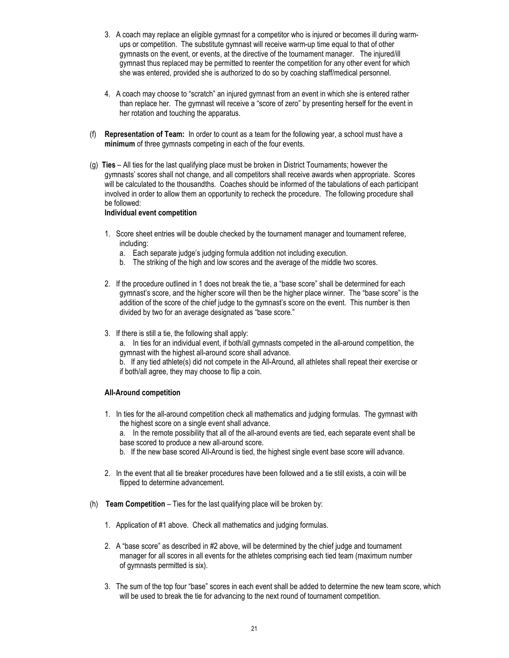- 3. A coach may replace an eligible gymnast for a competitor who is injured or becomes ill during warmups or competition. The substitute gymnast will receive warm-up time equal to that of other gymnasts on the event, or events, at the directive of the tournament manager. The injured/ill gymnast thus replaced may be permitted to reenter the competition for any other event for which she was entered, provided she is authorized to do so by coaching staff/medical personnel.
- 4. A coach may choose to "scratch" an injured gymnast from an event in which she is entered rather than replace her. The gymnast will receive a "score of zero" by presenting herself for the event in her rotation and touching the apparatus.
- (f) **Representation of Team:** In order to count as a team for the following year, a school must have a **minimum** of three gymnasts competing in each of the four events.
- (g) **Ties** All ties for the last qualifying place must be broken in District Tournaments; however the gymnasts' scores shall not change, and all competitors shall receive awards when appropriate. Scores will be calculated to the thousandths. Coaches should be informed of the tabulations of each participant involved in order to allow them an opportunity to recheck the procedure. The following procedure shall be followed:

#### **Individual event competition**

- 1. Score sheet entries will be double checked by the tournament manager and tournament referee, including:
	- a. Each separate judge's judging formula addition not including execution.
	- b. The striking of the high and low scores and the average of the middle two scores.
- 2. If the procedure outlined in 1 does not break the tie, a "base score" shall be determined for each gymnast's score, and the higher score will then be the higher place winner. The "base score" is the addition of the score of the chief judge to the gymnast's score on the event. This number is then divided by two for an average designated as "base score."
- 3. If there is still a tie, the following shall apply:
	- a. In ties for an individual event, if both/all gymnasts competed in the all-around competition, the gymnast with the highest all-around score shall advance.
	- b. If any tied athlete(s) did not compete in the All-Around, all athletes shall repeat their exercise or if both/all agree, they may choose to flip a coin.

# **All-Around competition**

1. In ties for the all-around competition check all mathematics and judging formulas. The gymnast with the highest score on a single event shall advance.

a. In the remote possibility that all of the all-around events are tied, each separate event shall be base scored to produce a new all-around score.

- b. If the new base scored All-Around is tied, the highest single event base score will advance.
- 2. In the event that all tie breaker procedures have been followed and a tie still exists, a coin will be flipped to determine advancement.
- (h) **Team Competition** Ties for the last qualifying place will be broken by:
	- 1. Application of #1 above. Check all mathematics and judging formulas.
	- 2. A "base score" as described in #2 above, will be determined by the chief judge and tournament manager for all scores in all events for the athletes comprising each tied team (maximum number of gymnasts permitted is six).
	- 3. The sum of the top four "base" scores in each event shall be added to determine the new team score, which will be used to break the tie for advancing to the next round of tournament competition.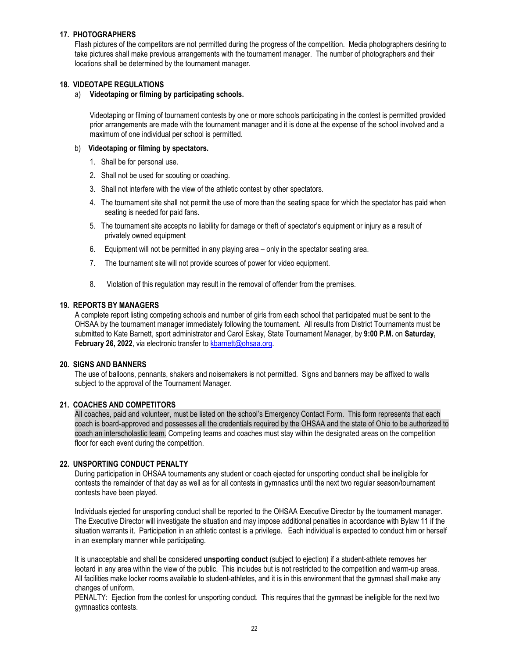#### **17. PHOTOGRAPHERS**

Flash pictures of the competitors are not permitted during the progress of the competition. Media photographers desiring to take pictures shall make previous arrangements with the tournament manager. The number of photographers and their locations shall be determined by the tournament manager.

#### **18. VIDEOTAPE REGULATIONS**

#### a) **Videotaping or filming by participating schools.**

Videotaping or filming of tournament contests by one or more schools participating in the contest is permitted provided prior arrangements are made with the tournament manager and it is done at the expense of the school involved and a maximum of one individual per school is permitted.

#### b) **Videotaping or filming by spectators.**

- 1. Shall be for personal use.
- 2. Shall not be used for scouting or coaching.
- 3. Shall not interfere with the view of the athletic contest by other spectators.
- 4. The tournament site shall not permit the use of more than the seating space for which the spectator has paid when seating is needed for paid fans.
- 5. The tournament site accepts no liability for damage or theft of spectator's equipment or injury as a result of privately owned equipment
- 6. Equipment will not be permitted in any playing area only in the spectator seating area.
- 7. The tournament site will not provide sources of power for video equipment.
- 8. Violation of this regulation may result in the removal of offender from the premises.

#### **19. REPORTS BY MANAGERS**

A complete report listing competing schools and number of girls from each school that participated must be sent to the OHSAA by the tournament manager immediately following the tournament. All results from District Tournaments must be submitted to Kate Barnett, sport administrator and Carol Eskay, State Tournament Manager, by **9:00 P.M.** on **Saturday,**  February 26, 2022, via electronic transfer to kbarnett@ohsaa.org.

#### **20. SIGNS AND BANNERS**

The use of balloons, pennants, shakers and noisemakers is not permitted. Signs and banners may be affixed to walls subject to the approval of the Tournament Manager.

#### **21. COACHES AND COMPETITORS**

All coaches, paid and volunteer, must be listed on the school's Emergency Contact Form. This form represents that each coach is board-approved and possesses all the credentials required by the OHSAA and the state of Ohio to be authorized to coach an interscholastic team. Competing teams and coaches must stay within the designated areas on the competition floor for each event during the competition.

#### **22. UNSPORTING CONDUCT PENALTY**

During participation in OHSAA tournaments any student or coach ejected for unsporting conduct shall be ineligible for contests the remainder of that day as well as for all contests in gymnastics until the next two regular season/tournament contests have been played.

Individuals ejected for unsporting conduct shall be reported to the OHSAA Executive Director by the tournament manager. The Executive Director will investigate the situation and may impose additional penalties in accordance with Bylaw 11 if the situation warrants it. Participation in an athletic contest is a privilege. Each individual is expected to conduct him or herself in an exemplary manner while participating.

It is unacceptable and shall be considered **unsporting conduct** (subject to ejection) if a student-athlete removes her leotard in any area within the view of the public. This includes but is not restricted to the competition and warm-up areas. All facilities make locker rooms available to student-athletes, and it is in this environment that the gymnast shall make any changes of uniform.

PENALTY: Ejection from the contest for unsporting conduct. This requires that the gymnast be ineligible for the next two gymnastics contests.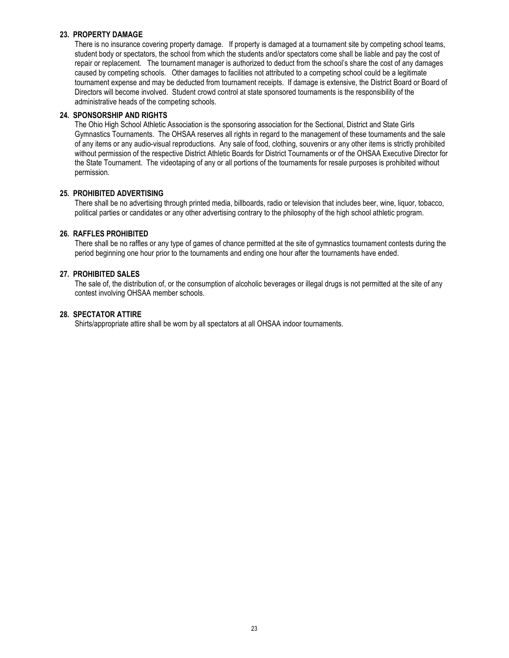#### **23. PROPERTY DAMAGE**

There is no insurance covering property damage. If property is damaged at a tournament site by competing school teams, student body or spectators, the school from which the students and/or spectators come shall be liable and pay the cost of repair or replacement. The tournament manager is authorized to deduct from the school's share the cost of any damages caused by competing schools. Other damages to facilities not attributed to a competing school could be a legitimate tournament expense and may be deducted from tournament receipts. If damage is extensive, the District Board or Board of Directors will become involved. Student crowd control at state sponsored tournaments is the responsibility of the administrative heads of the competing schools.

#### **24. SPONSORSHIP AND RIGHTS**

The Ohio High School Athletic Association is the sponsoring association for the Sectional, District and State Girls Gymnastics Tournaments. The OHSAA reserves all rights in regard to the management of these tournaments and the sale of any items or any audio-visual reproductions. Any sale of food, clothing, souvenirs or any other items is strictly prohibited without permission of the respective District Athletic Boards for District Tournaments or of the OHSAA Executive Director for the State Tournament. The videotaping of any or all portions of the tournaments for resale purposes is prohibited without permission.

#### **25. PROHIBITED ADVERTISING**

There shall be no advertising through printed media, billboards, radio or television that includes beer, wine, liquor, tobacco, political parties or candidates or any other advertising contrary to the philosophy of the high school athletic program.

#### **26. RAFFLES PROHIBITED**

There shall be no raffles or any type of games of chance permitted at the site of gymnastics tournament contests during the period beginning one hour prior to the tournaments and ending one hour after the tournaments have ended.

# **27. PROHIBITED SALES**

The sale of, the distribution of, or the consumption of alcoholic beverages or illegal drugs is not permitted at the site of any contest involving OHSAA member schools.

#### **28. SPECTATOR ATTIRE**

Shirts/appropriate attire shall be worn by all spectators at all OHSAA indoor tournaments.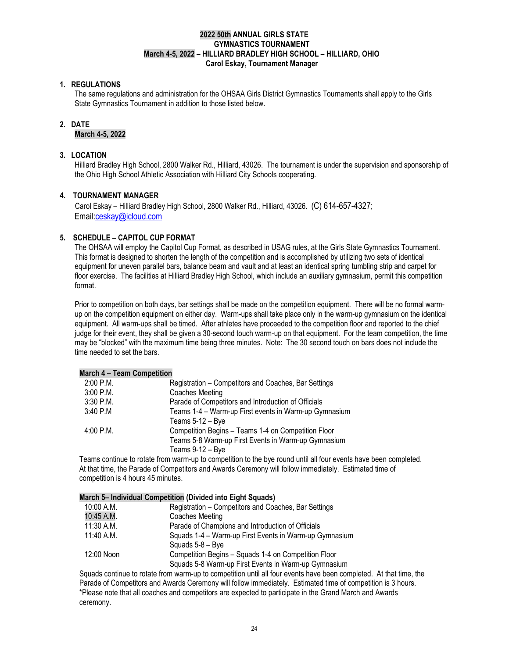#### **2022 50th ANNUAL GIRLS STATE GYMNASTICS TOURNAMENT March 4-5, 2022 – HILLIARD BRADLEY HIGH SCHOOL – HILLIARD, OHIO Carol Eskay, Tournament Manager**

#### **1. REGULATIONS**

The same regulations and administration for the OHSAA Girls District Gymnastics Tournaments shall apply to the Girls State Gymnastics Tournament in addition to those listed below.

#### **2. DATE**

#### **March 4-5, 2022**

#### **3. LOCATION**

Hilliard Bradley High School, 2800 Walker Rd., Hilliard, 43026. The tournament is under the supervision and sponsorship of the Ohio High School Athletic Association with Hilliard City Schools cooperating.

#### **4. TOURNAMENT MANAGER**

 Carol Eskay – Hilliard Bradley High School, 2800 Walker Rd., Hilliard, 43026. (C) 614-657-4327; Emai[l:ceskay@icloud.com](mailto:ceskay@icloud.com)

#### **5. SCHEDULE – CAPITOL CUP FORMAT**

The OHSAA will employ the Capitol Cup Format, as described in USAG rules, at the Girls State Gymnastics Tournament. This format is designed to shorten the length of the competition and is accomplished by utilizing two sets of identical equipment for uneven parallel bars, balance beam and vault and at least an identical spring tumbling strip and carpet for floor exercise. The facilities at Hilliard Bradley High School, which include an auxiliary gymnasium, permit this competition format.

Prior to competition on both days, bar settings shall be made on the competition equipment. There will be no formal warmup on the competition equipment on either day. Warm-ups shall take place only in the warm-up gymnasium on the identical equipment. All warm-ups shall be timed. After athletes have proceeded to the competition floor and reported to the chief judge for their event, they shall be given a 30-second touch warm-up on that equipment. For the team competition, the time may be "blocked" with the maximum time being three minutes. Note: The 30 second touch on bars does not include the time needed to set the bars.

#### **March 4 – Team Competition**

| $2:00$ P.M. | Registration – Competitors and Coaches, Bar Settings  |
|-------------|-------------------------------------------------------|
| $3:00$ P.M. | Coaches Meeting                                       |
| 3:30 P.M.   | Parade of Competitors and Introduction of Officials   |
| 3:40 P.M    | Teams 1-4 - Warm-up First events in Warm-up Gymnasium |
|             | Teams 5-12 - Bye                                      |
| 4:00 P.M.   | Competition Begins - Teams 1-4 on Competition Floor   |
|             | Teams 5-8 Warm-up First Events in Warm-up Gymnasium   |
|             | Teams 9-12 - Bye                                      |
|             |                                                       |

Teams continue to rotate from warm-up to competition to the bye round until all four events have been completed. At that time, the Parade of Competitors and Awards Ceremony will follow immediately. Estimated time of competition is 4 hours 45 minutes.

#### **March 5– Individual Competition (Divided into Eight Squads)**

| 10:00 A.M.   | Registration – Competitors and Coaches, Bar Settings   |  |
|--------------|--------------------------------------------------------|--|
| 10:45 A.M.   | Coaches Meeting                                        |  |
| 11:30 A.M.   | Parade of Champions and Introduction of Officials      |  |
| $11:40$ A.M. | Squads 1-4 - Warm-up First Events in Warm-up Gymnasium |  |
|              | Squads 5-8 – Bye                                       |  |
| 12:00 Noon   | Competition Begins - Squads 1-4 on Competition Floor   |  |
|              | Squads 5-8 Warm-up First Events in Warm-up Gymnasium   |  |
|              |                                                        |  |

Squads continue to rotate from warm-up to competition until all four events have been completed. At that time, the Parade of Competitors and Awards Ceremony will follow immediately. Estimated time of competition is 3 hours. \*Please note that all coaches and competitors are expected to participate in the Grand March and Awards ceremony.